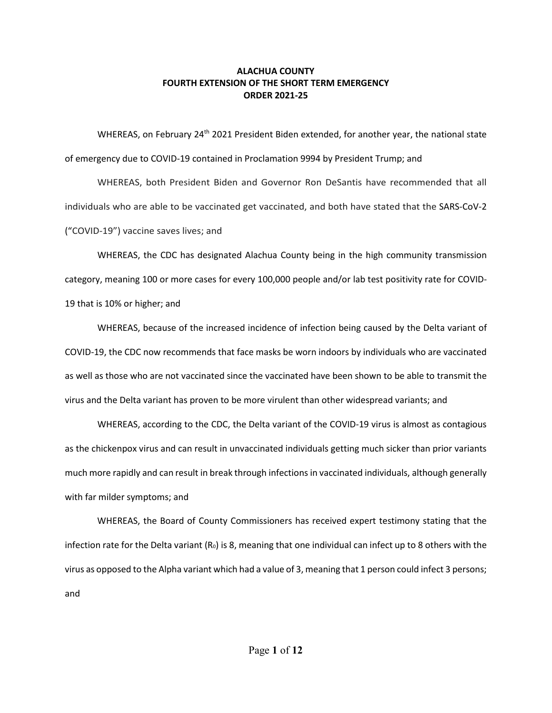WHEREAS, on February 24<sup>th</sup> 2021 President Biden extended, for another year, the national state of emergency due to COVID-19 contained in Proclamation 9994 by President Trump; and

WHEREAS, both President Biden and Governor Ron DeSantis have recommended that all individuals who are able to be vaccinated get vaccinated, and both have stated that the SARS-CoV-2 ("COVID-19") vaccine saves lives; and

WHEREAS, the CDC has designated Alachua County being in the high community transmission category, meaning 100 or more cases for every 100,000 people and/or lab test positivity rate for COVID-19 that is 10% or higher; and

WHEREAS, because of the increased incidence of infection being caused by the Delta variant of COVID-19, the CDC now recommends that face masks be worn indoors by individuals who are vaccinated as well as those who are not vaccinated since the vaccinated have been shown to be able to transmit the virus and the Delta variant has proven to be more virulent than other widespread variants; and

WHEREAS, according to the CDC, the Delta variant of the COVID-19 virus is almost as contagious as the chickenpox virus and can result in unvaccinated individuals getting much sicker than prior variants much more rapidly and can result in break through infections in vaccinated individuals, although generally with far milder symptoms; and

WHEREAS, the Board of County Commissioners has received expert testimony stating that the infection rate for the Delta variant  $(R_0)$  is 8, meaning that one individual can infect up to 8 others with the virus as opposed to the Alpha variant which had a value of 3, meaning that 1 person could infect 3 persons; and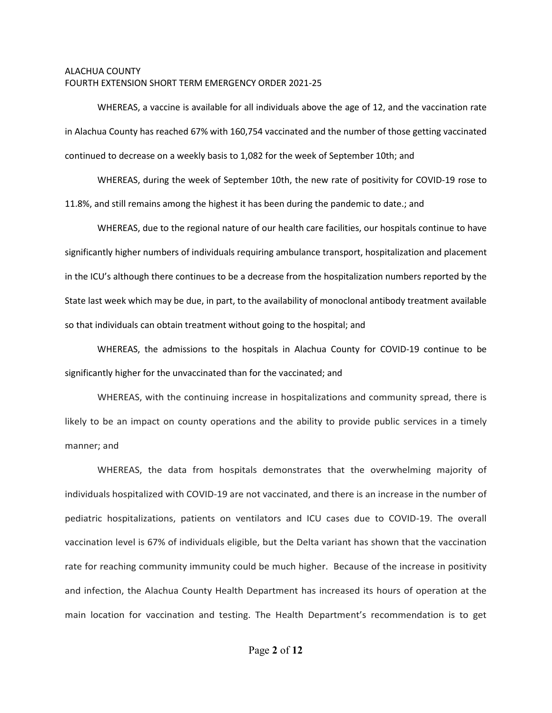WHEREAS, a vaccine is available for all individuals above the age of 12, and the vaccination rate in Alachua County has reached 67% with 160,754 vaccinated and the number of those getting vaccinated continued to decrease on a weekly basis to 1,082 for the week of September 10th; and

WHEREAS, during the week of September 10th, the new rate of positivity for COVID-19 rose to 11.8%, and still remains among the highest it has been during the pandemic to date.; and

WHEREAS, due to the regional nature of our health care facilities, our hospitals continue to have significantly higher numbers of individuals requiring ambulance transport, hospitalization and placement in the ICU's although there continues to be a decrease from the hospitalization numbers reported by the State last week which may be due, in part, to the availability of monoclonal antibody treatment available so that individuals can obtain treatment without going to the hospital; and

WHEREAS, the admissions to the hospitals in Alachua County for COVID-19 continue to be significantly higher for the unvaccinated than for the vaccinated; and

WHEREAS, with the continuing increase in hospitalizations and community spread, there is likely to be an impact on county operations and the ability to provide public services in a timely manner; and

WHEREAS, the data from hospitals demonstrates that the overwhelming majority of individuals hospitalized with COVID-19 are not vaccinated, and there is an increase in the number of pediatric hospitalizations, patients on ventilators and ICU cases due to COVID-19. The overall vaccination level is 67% of individuals eligible, but the Delta variant has shown that the vaccination rate for reaching community immunity could be much higher. Because of the increase in positivity and infection, the Alachua County Health Department has increased its hours of operation at the main location for vaccination and testing. The Health Department's recommendation is to get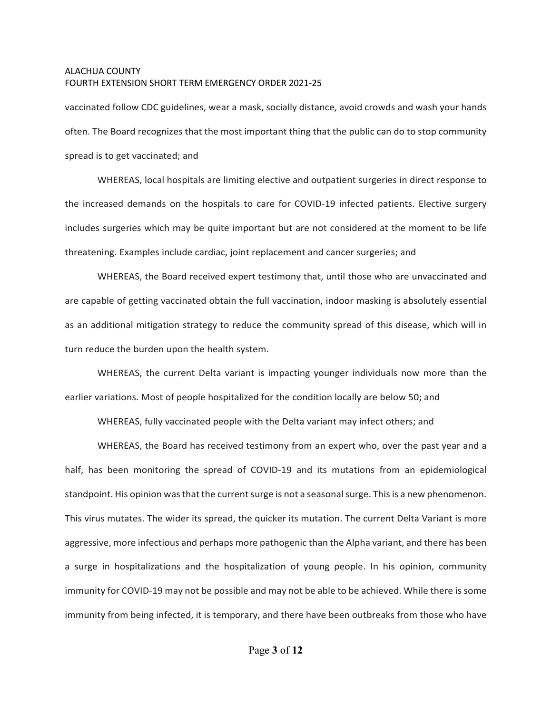vaccinated follow CDC guidelines, wear a mask, socially distance, avoid crowds and wash your hands often. The Board recognizes that the most important thing that the public can do to stop community spread is to get vaccinated; and

WHEREAS, local hospitals are limiting elective and outpatient surgeries in direct response to the increased demands on the hospitals to care for COVID-19 infected patients. Elective surgery includes surgeries which may be quite important but are not considered at the moment to be life threatening. Examples include cardiac, joint replacement and cancer surgeries; and

WHEREAS, the Board received expert testimony that, until those who are unvaccinated and are capable of getting vaccinated obtain the full vaccination, indoor masking is absolutely essential as an additional mitigation strategy to reduce the community spread of this disease, which will in turn reduce the burden upon the health system.

WHEREAS, the current Delta variant is impacting younger individuals now more than the earlier variations. Most of people hospitalized for the condition locally are below 50; and

WHEREAS, fully vaccinated people with the Delta variant may infect others; and

WHEREAS, the Board has received testimony from an expert who, over the past year and a half, has been monitoring the spread of COVID-19 and its mutations from an epidemiological standpoint. His opinion was that the current surge is not a seasonal surge. This is a new phenomenon. This virus mutates. The wider its spread, the quicker its mutation. The current Delta Variant is more aggressive, more infectious and perhaps more pathogenic than the Alpha variant, and there has been a surge in hospitalizations and the hospitalization of young people. In his opinion, community immunity for COVID-19 may not be possible and may not be able to be achieved. While there is some immunity from being infected, it is temporary, and there have been outbreaks from those who have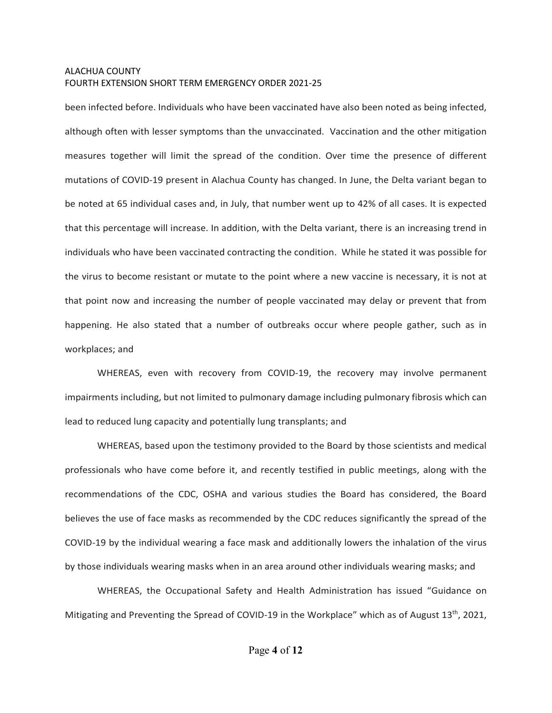been infected before. Individuals who have been vaccinated have also been noted as being infected, although often with lesser symptoms than the unvaccinated. Vaccination and the other mitigation measures together will limit the spread of the condition. Over time the presence of different mutations of COVID-19 present in Alachua County has changed. In June, the Delta variant began to be noted at 65 individual cases and, in July, that number went up to 42% of all cases. It is expected that this percentage will increase. In addition, with the Delta variant, there is an increasing trend in individuals who have been vaccinated contracting the condition. While he stated it was possible for the virus to become resistant or mutate to the point where a new vaccine is necessary, it is not at that point now and increasing the number of people vaccinated may delay or prevent that from happening. He also stated that a number of outbreaks occur where people gather, such as in workplaces; and

WHEREAS, even with recovery from COVID-19, the recovery may involve permanent impairments including, but not limited to pulmonary damage including pulmonary fibrosis which can lead to reduced lung capacity and potentially lung transplants; and

WHEREAS, based upon the testimony provided to the Board by those scientists and medical professionals who have come before it, and recently testified in public meetings, along with the recommendations of the CDC, OSHA and various studies the Board has considered, the Board believes the use of face masks as recommended by the CDC reduces significantly the spread of the COVID-19 by the individual wearing a face mask and additionally lowers the inhalation of the virus by those individuals wearing masks when in an area around other individuals wearing masks; and

WHEREAS, the Occupational Safety and Health Administration has issued "Guidance on Mitigating and Preventing the Spread of COVID-19 in the Workplace" which as of August  $13<sup>th</sup>$ , 2021,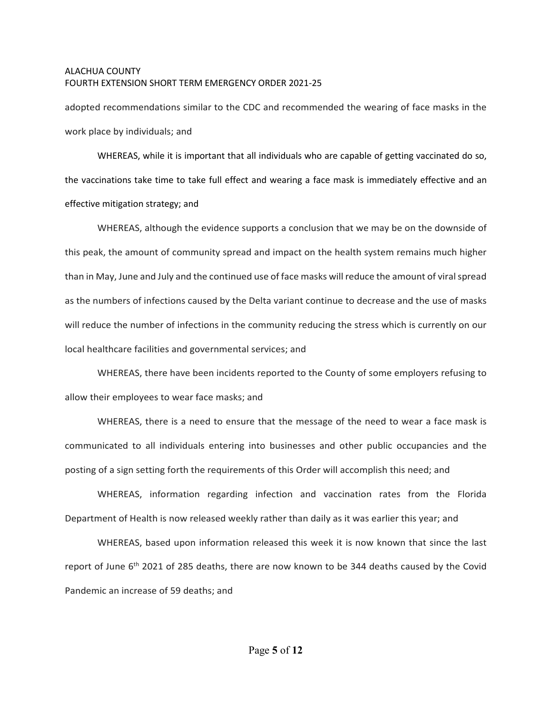adopted recommendations similar to the CDC and recommended the wearing of face masks in the work place by individuals; and

WHEREAS, while it is important that all individuals who are capable of getting vaccinated do so, the vaccinations take time to take full effect and wearing a face mask is immediately effective and an effective mitigation strategy; and

WHEREAS, although the evidence supports a conclusion that we may be on the downside of this peak, the amount of community spread and impact on the health system remains much higher than in May, June and July and the continued use of face masks will reduce the amount of viral spread as the numbers of infections caused by the Delta variant continue to decrease and the use of masks will reduce the number of infections in the community reducing the stress which is currently on our local healthcare facilities and governmental services; and

WHEREAS, there have been incidents reported to the County of some employers refusing to allow their employees to wear face masks; and

WHEREAS, there is a need to ensure that the message of the need to wear a face mask is communicated to all individuals entering into businesses and other public occupancies and the posting of a sign setting forth the requirements of this Order will accomplish this need; and

WHEREAS, information regarding infection and vaccination rates from the Florida Department of Health is now released weekly rather than daily as it was earlier this year; and

WHEREAS, based upon information released this week it is now known that since the last report of June 6<sup>th</sup> 2021 of 285 deaths, there are now known to be 344 deaths caused by the Covid Pandemic an increase of 59 deaths; and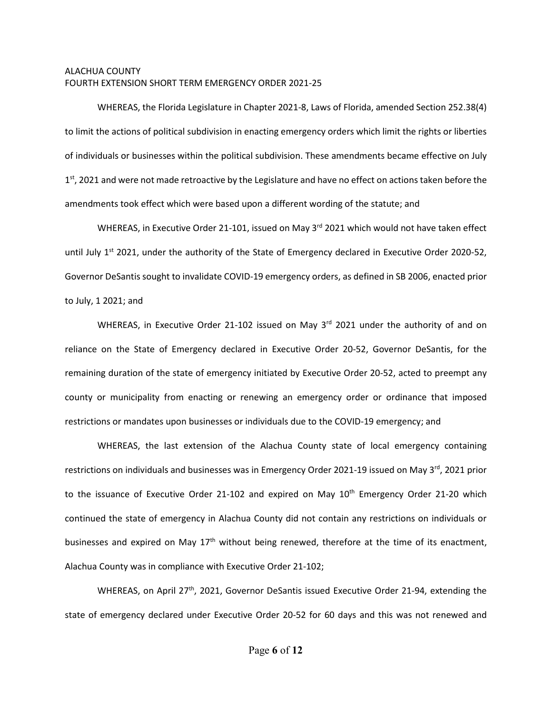WHEREAS, the Florida Legislature in Chapter 2021-8, Laws of Florida, amended Section 252.38(4) to limit the actions of political subdivision in enacting emergency orders which limit the rights or liberties of individuals or businesses within the political subdivision. These amendments became effective on July 1<sup>st</sup>, 2021 and were not made retroactive by the Legislature and have no effect on actions taken before the amendments took effect which were based upon a different wording of the statute; and

WHEREAS, in Executive Order 21-101, issued on May 3<sup>rd</sup> 2021 which would not have taken effect until July  $1^{st}$  2021, under the authority of the State of Emergency declared in Executive Order 2020-52, Governor DeSantis sought to invalidate COVID-19 emergency orders, as defined in SB 2006, enacted prior to July, 1 2021; and

WHEREAS, in Executive Order 21-102 issued on May 3<sup>rd</sup> 2021 under the authority of and on reliance on the State of Emergency declared in Executive Order 20-52, Governor DeSantis, for the remaining duration of the state of emergency initiated by Executive Order 20-52, acted to preempt any county or municipality from enacting or renewing an emergency order or ordinance that imposed restrictions or mandates upon businesses or individuals due to the COVID-19 emergency; and

WHEREAS, the last extension of the Alachua County state of local emergency containing restrictions on individuals and businesses was in Emergency Order 2021-19 issued on May 3<sup>rd</sup>, 2021 prior to the issuance of Executive Order 21-102 and expired on May  $10<sup>th</sup>$  Emergency Order 21-20 which continued the state of emergency in Alachua County did not contain any restrictions on individuals or businesses and expired on May 17<sup>th</sup> without being renewed, therefore at the time of its enactment, Alachua County was in compliance with Executive Order 21-102;

WHEREAS, on April 27<sup>th</sup>, 2021, Governor DeSantis issued Executive Order 21-94, extending the state of emergency declared under Executive Order 20-52 for 60 days and this was not renewed and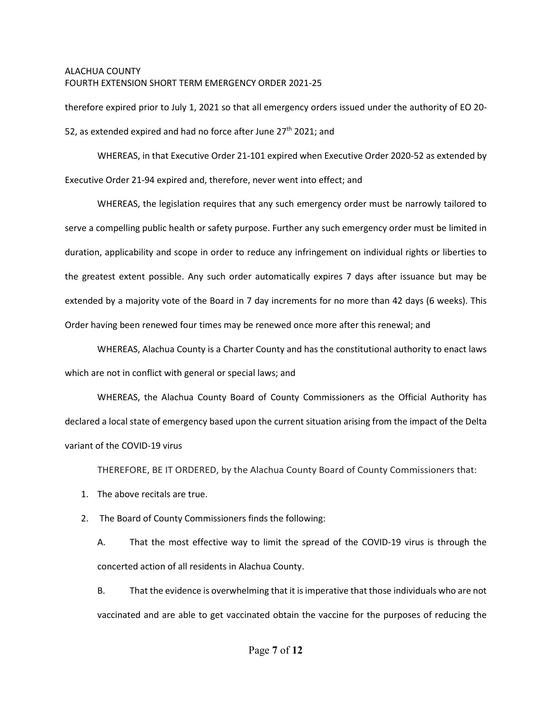therefore expired prior to July 1, 2021 so that all emergency orders issued under the authority of EO 20- 52, as extended expired and had no force after June  $27<sup>th</sup>$  2021; and

WHEREAS, in that Executive Order 21-101 expired when Executive Order 2020-52 as extended by Executive Order 21-94 expired and, therefore, never went into effect; and

WHEREAS, the legislation requires that any such emergency order must be narrowly tailored to serve a compelling public health or safety purpose. Further any such emergency order must be limited in duration, applicability and scope in order to reduce any infringement on individual rights or liberties to the greatest extent possible. Any such order automatically expires 7 days after issuance but may be extended by a majority vote of the Board in 7 day increments for no more than 42 days (6 weeks). This Order having been renewed four times may be renewed once more after this renewal; and

WHEREAS, Alachua County is a Charter County and has the constitutional authority to enact laws which are not in conflict with general or special laws; and

WHEREAS, the Alachua County Board of County Commissioners as the Official Authority has declared a local state of emergency based upon the current situation arising from the impact of the Delta variant of the COVID-19 virus

THEREFORE, BE IT ORDERED, by the Alachua County Board of County Commissioners that:

- 1. The above recitals are true.
- 2. The Board of County Commissioners finds the following:

A. That the most effective way to limit the spread of the COVID-19 virus is through the concerted action of all residents in Alachua County.

B. That the evidence is overwhelming that it is imperative that those individuals who are not vaccinated and are able to get vaccinated obtain the vaccine for the purposes of reducing the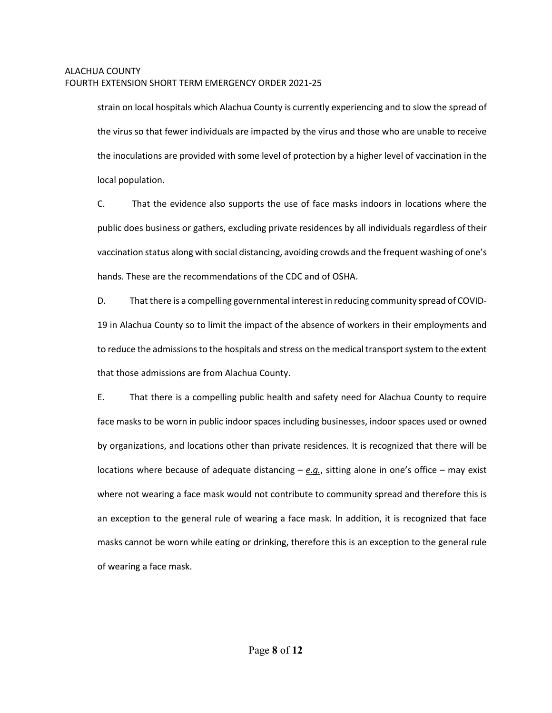strain on local hospitals which Alachua County is currently experiencing and to slow the spread of the virus so that fewer individuals are impacted by the virus and those who are unable to receive the inoculations are provided with some level of protection by a higher level of vaccination in the local population.

C. That the evidence also supports the use of face masks indoors in locations where the public does business or gathers, excluding private residences by all individuals regardless of their vaccination status along with social distancing, avoiding crowds and the frequent washing of one's hands. These are the recommendations of the CDC and of OSHA.

D. That there is a compelling governmental interest in reducing community spread of COVID-19 in Alachua County so to limit the impact of the absence of workers in their employments and to reduce the admissions to the hospitals and stress on the medical transport system to the extent that those admissions are from Alachua County.

E. That there is a compelling public health and safety need for Alachua County to require face masks to be worn in public indoor spaces including businesses, indoor spaces used or owned by organizations, and locations other than private residences. It is recognized that there will be locations where because of adequate distancing – *e.g.*, sitting alone in one's office – may exist where not wearing a face mask would not contribute to community spread and therefore this is an exception to the general rule of wearing a face mask. In addition, it is recognized that face masks cannot be worn while eating or drinking, therefore this is an exception to the general rule of wearing a face mask.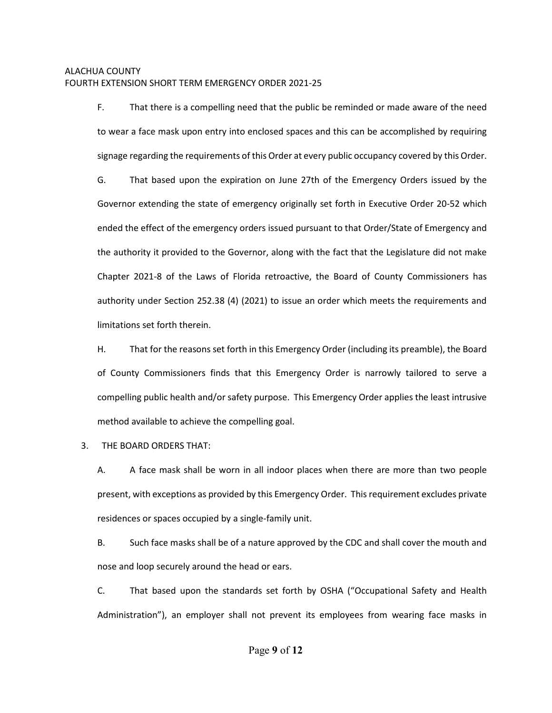F. That there is a compelling need that the public be reminded or made aware of the need to wear a face mask upon entry into enclosed spaces and this can be accomplished by requiring signage regarding the requirements of this Order at every public occupancy covered by this Order.

G. That based upon the expiration on June 27th of the Emergency Orders issued by the Governor extending the state of emergency originally set forth in Executive Order 20-52 which ended the effect of the emergency orders issued pursuant to that Order/State of Emergency and the authority it provided to the Governor, along with the fact that the Legislature did not make Chapter 2021-8 of the Laws of Florida retroactive, the Board of County Commissioners has authority under Section 252.38 (4) (2021) to issue an order which meets the requirements and limitations set forth therein.

H. That for the reasons set forth in this Emergency Order (including its preamble), the Board of County Commissioners finds that this Emergency Order is narrowly tailored to serve a compelling public health and/or safety purpose. This Emergency Order applies the least intrusive method available to achieve the compelling goal.

# 3. THE BOARD ORDERS THAT:

A. A face mask shall be worn in all indoor places when there are more than two people present, with exceptions as provided by this Emergency Order. Thisrequirement excludes private residences or spaces occupied by a single-family unit.

B. Such face masks shall be of a nature approved by the CDC and shall cover the mouth and nose and loop securely around the head or ears.

C. That based upon the standards set forth by OSHA ("Occupational Safety and Health Administration"), an employer shall not prevent its employees from wearing face masks in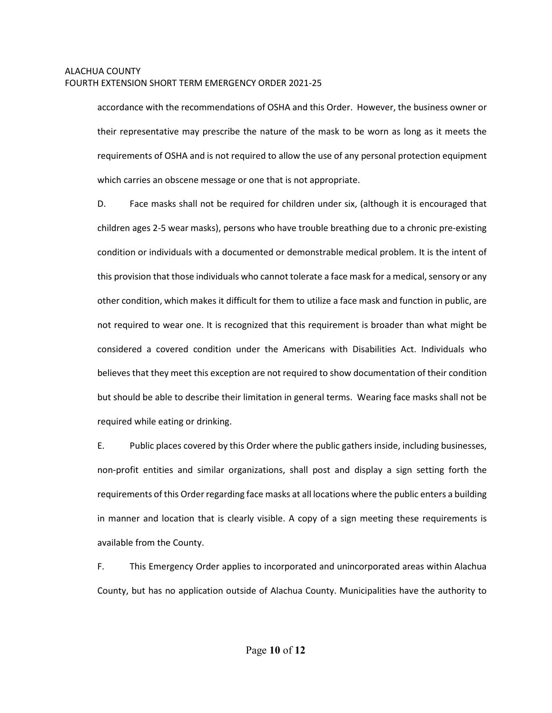accordance with the recommendations of OSHA and this Order. However, the business owner or their representative may prescribe the nature of the mask to be worn as long as it meets the requirements of OSHA and is not required to allow the use of any personal protection equipment which carries an obscene message or one that is not appropriate.

D. Face masks shall not be required for children under six, (although it is encouraged that children ages 2-5 wear masks), persons who have trouble breathing due to a chronic pre-existing condition or individuals with a documented or demonstrable medical problem. It is the intent of this provision that those individuals who cannot tolerate a face mask for a medical, sensory or any other condition, which makes it difficult for them to utilize a face mask and function in public, are not required to wear one. It is recognized that this requirement is broader than what might be considered a covered condition under the Americans with Disabilities Act. Individuals who believes that they meet this exception are not required to show documentation of their condition but should be able to describe their limitation in general terms. Wearing face masks shall not be required while eating or drinking.

E. Public places covered by this Order where the public gathers inside, including businesses, non-profit entities and similar organizations, shall post and display a sign setting forth the requirements of this Order regarding face masks at all locations where the public enters a building in manner and location that is clearly visible. A copy of a sign meeting these requirements is available from the County.

F. This Emergency Order applies to incorporated and unincorporated areas within Alachua County, but has no application outside of Alachua County. Municipalities have the authority to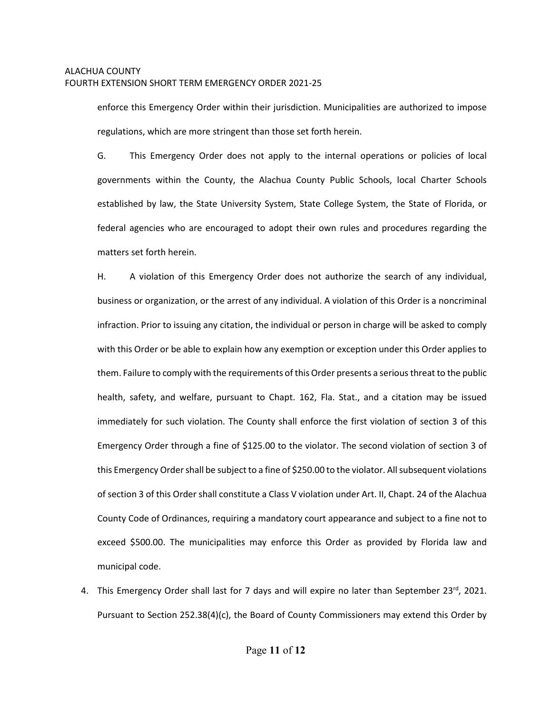enforce this Emergency Order within their jurisdiction. Municipalities are authorized to impose regulations, which are more stringent than those set forth herein.

G. This Emergency Order does not apply to the internal operations or policies of local governments within the County, the Alachua County Public Schools, local Charter Schools established by law, the State University System, State College System, the State of Florida, or federal agencies who are encouraged to adopt their own rules and procedures regarding the matters set forth herein.

H. A violation of this Emergency Order does not authorize the search of any individual, business or organization, or the arrest of any individual. A violation of this Order is a noncriminal infraction. Prior to issuing any citation, the individual or person in charge will be asked to comply with this Order or be able to explain how any exemption or exception under this Order applies to them. Failure to comply with the requirements of this Order presents a serious threat to the public health, safety, and welfare, pursuant to Chapt. 162, Fla. Stat., and a citation may be issued immediately for such violation. The County shall enforce the first violation of section 3 of this Emergency Order through a fine of \$125.00 to the violator. The second violation of section 3 of this Emergency Order shall be subject to a fine of \$250.00 to the violator. All subsequent violations of section 3 of this Order shall constitute a Class V violation under Art. II, Chapt. 24 of the Alachua County Code of Ordinances, requiring a mandatory court appearance and subject to a fine not to exceed \$500.00. The municipalities may enforce this Order as provided by Florida law and municipal code.

4. This Emergency Order shall last for 7 days and will expire no later than September 23<sup>rd</sup>, 2021. Pursuant to Section 252.38(4)(c), the Board of County Commissioners may extend this Order by